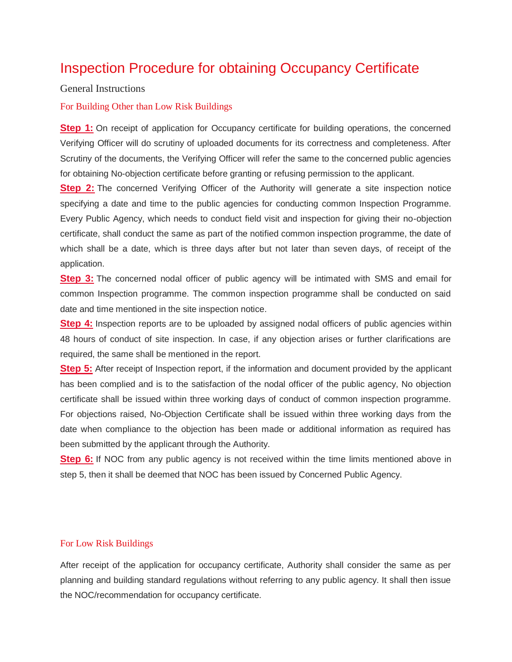## Inspection Procedure for obtaining Occupancy Certificate

### General Instructions

### For Building Other than Low Risk Buildings

**Step 1:** On receipt of application for Occupancy certificate for building operations, the concerned Verifying Officer will do scrutiny of uploaded documents for its correctness and completeness. After Scrutiny of the documents, the Verifying Officer will refer the same to the concerned public agencies for obtaining No-objection certificate before granting or refusing permission to the applicant.

**Step 2:** The concerned Verifying Officer of the Authority will generate a site inspection notice specifying a date and time to the public agencies for conducting common Inspection Programme. Every Public Agency, which needs to conduct field visit and inspection for giving their no-objection certificate, shall conduct the same as part of the notified common inspection programme, the date of which shall be a date, which is three days after but not later than seven days, of receipt of the application.

**Step 3:** The concerned nodal officer of public agency will be intimated with SMS and email for common Inspection programme. The common inspection programme shall be conducted on said date and time mentioned in the site inspection notice.

**Step 4:** Inspection reports are to be uploaded by assigned nodal officers of public agencies within 48 hours of conduct of site inspection. In case, if any objection arises or further clarifications are required, the same shall be mentioned in the report.

**Step 5:** After receipt of Inspection report, if the information and document provided by the applicant has been complied and is to the satisfaction of the nodal officer of the public agency, No objection certificate shall be issued within three working days of conduct of common inspection programme. For objections raised, No-Objection Certificate shall be issued within three working days from the date when compliance to the objection has been made or additional information as required has been submitted by the applicant through the Authority.

**Step 6:** If NOC from any public agency is not received within the time limits mentioned above in step 5, then it shall be deemed that NOC has been issued by Concerned Public Agency.

### For Low Risk Buildings

After receipt of the application for occupancy certificate, Authority shall consider the same as per planning and building standard regulations without referring to any public agency. It shall then issue the NOC/recommendation for occupancy certificate.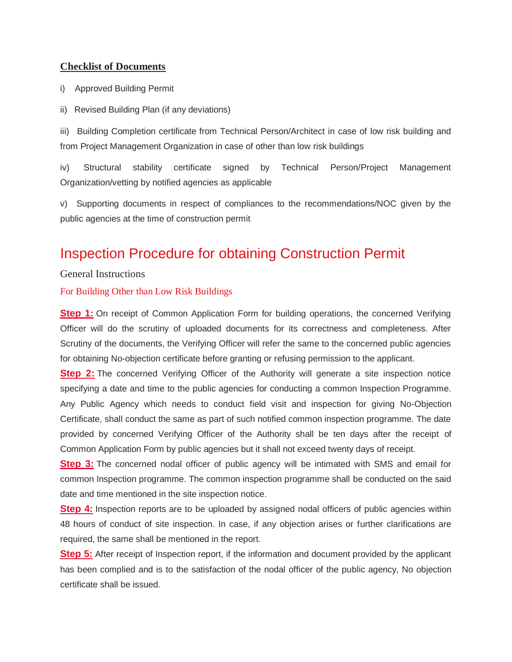## **Checklist of Documents**

i) Approved Building Permit

ii) Revised Building Plan (if any deviations)

iii) Building Completion certificate from Technical Person/Architect in case of low risk building and from Project Management Organization in case of other than low risk buildings

iv) Structural stability certificate signed by Technical Person/Project Management Organization/vetting by notified agencies as applicable

v) Supporting documents in respect of compliances to the recommendations/NOC given by the public agencies at the time of construction permit

# Inspection Procedure for obtaining Construction Permit

General Instructions

For Building Other than Low Risk Buildings

**Step 1:** On receipt of Common Application Form for building operations, the concerned Verifying Officer will do the scrutiny of uploaded documents for its correctness and completeness. After Scrutiny of the documents, the Verifying Officer will refer the same to the concerned public agencies for obtaining No-objection certificate before granting or refusing permission to the applicant.

**Step 2:** The concerned Verifying Officer of the Authority will generate a site inspection notice specifying a date and time to the public agencies for conducting a common Inspection Programme. Any Public Agency which needs to conduct field visit and inspection for giving No-Objection Certificate, shall conduct the same as part of such notified common inspection programme. The date provided by concerned Verifying Officer of the Authority shall be ten days after the receipt of Common Application Form by public agencies but it shall not exceed twenty days of receipt.

**Step 3:** The concerned nodal officer of public agency will be intimated with SMS and email for common Inspection programme. The common inspection programme shall be conducted on the said date and time mentioned in the site inspection notice.

**Step 4:** Inspection reports are to be uploaded by assigned nodal officers of public agencies within 48 hours of conduct of site inspection. In case, if any objection arises or further clarifications are required, the same shall be mentioned in the report.

**Step 5:** After receipt of Inspection report, if the information and document provided by the applicant has been complied and is to the satisfaction of the nodal officer of the public agency, No objection certificate shall be issued.